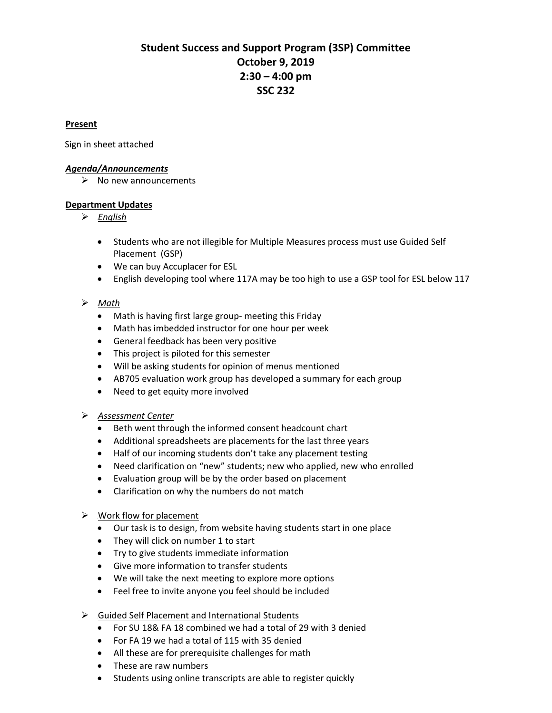# **Student Success and Support Program (3SP) Committee October 9, 2019 2:30 – 4:00 pm SSC 232**

## <sup>U</sup>**Present**

Sign in sheet attached

#### <sup>U</sup>*Agenda/Announcements*

 $\triangleright$  No new announcements

#### <sup>U</sup>**Department Updates**

- <sup>U</sup>*English*
	- Students who are not illegible for Multiple Measures process must use Guided Self Placement (GSP)
	- We can buy Accuplacer for ESL
	- English developing tool where 117A may be too high to use a GSP tool for ESL below 117

## <sup>U</sup>*Math*

- Math is having first large group- meeting this Friday
- Math has imbedded instructor for one hour per week
- General feedback has been very positive
- This project is piloted for this semester
- Will be asking students for opinion of menus mentioned
- AB705 evaluation work group has developed a summary for each group
- Need to get equity more involved

## <sup>U</sup>*Assessment Center*

- Beth went through the informed consent headcount chart
- Additional spreadsheets are placements for the last three years
- Half of our incoming students don't take any placement testing
- Need clarification on "new" students; new who applied, new who enrolled
- Evaluation group will be by the order based on placement
- Clarification on why the numbers do not match

## $\triangleright$  Work flow for placement

- Our task is to design, from website having students start in one place
- They will click on number 1 to start
- Try to give students immediate information
- Give more information to transfer students
- We will take the next meeting to explore more options
- Feel free to invite anyone you feel should be included
- $\triangleright$  Guided Self Placement and International Students
	- For SU 18& FA 18 combined we had a total of 29 with 3 denied
	- For FA 19 we had a total of 115 with 35 denied
	- All these are for prerequisite challenges for math
	- These are raw numbers
	- Students using online transcripts are able to register quickly